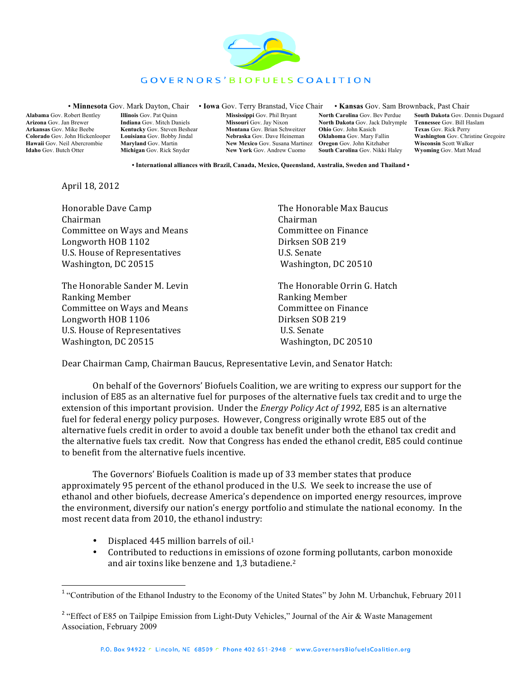

## GOVERNORS' BIOFUELS COALITION

• **Minnesota** Gov. Mark Dayton, Chair • **Iowa** Gov. Terry Branstad, Vice Chair • **Kansas** Gov. Sam Brownback, Past Chair

**Alabama** Gov. Robert Bentley **Arizona** Gov. Jan Brewer **Arkansas** Gov. Mike Beebe **Colorado** Gov. John Hickenlooper **Hawaii** Gov. Neil Abercrombie **Idaho** Gov. Butch Otter

**Illinois** Gov. Pat Quinn **Indiana** Gov. Mitch Daniels **Kentucky** Gov. Steven Beshear **Louisiana** Gov. Bobby Jindal **Maryland** Gov. Martin **Michigan** Gov. Rick Snyder

**Mississippi** Gov. Phil Bryant **Missouri** Gov. Jay Nixon **Montana** Gov. Brian Schweitzer **Nebraska** Gov. Dave Heineman **New Mexico** Gov. Susana Martinez **Oregon** Gov. John Kitzhaber **New York** Gov. Andrew Cuomo

**North Carolina** Gov. Bev Perdue **North Dakota** Gov. Jack Dalrymple **Tennessee** Gov. Bill Haslam **Ohio** Gov. John Kasich **Oklahoma** Gov. Mary Fallin **South Carolina** Gov. Nikki Haley

**South Dakota** Gov. Dennis Dugaard **Texas** Gov. Rick Perry **Washington** Gov. Christine Gregoire **Wisconsin** Scott Walker **Wyoming** Gov. Matt Mead

**• International alliances with Brazil, Canada, Mexico, Queensland, Australia, Sweden and Thailand •**

April 18, 2012

Honorable Dave Camp The Honorable Max Baucus Chairman Chairman Committee on Ways and Means **Committee** on Finance Longworth HOB 1102 Dirksen SOB 219 U.S. House of Representatives U.S. Senate Washington, DC 20515 **Washington, DC 20510** 

The Honorable Sander M. Levin The Honorable Orrin G. Hatch Ranking Member **Ranking Member** Ranking Member Committee on Ways and Means **Committee On Finance** Longworth HOB 1106 Dirksen SOB 219 U.S. House of Representatives **Black CO.S.** Senate Washington, DC 20515 **Washington, DC 20510** 

Dear Chairman Camp, Chairman Baucus, Representative Levin, and Senator Hatch:

On behalf of the Governors' Biofuels Coalition, we are writing to express our support for the inclusion of E85 as an alternative fuel for purposes of the alternative fuels tax credit and to urge the extension of this important provision. Under the *Energy Policy Act of 1992*, E85 is an alternative fuel for federal energy policy purposes. However, Congress originally wrote E85 out of the alternative fuels credit in order to avoid a double tax benefit under both the ethanol tax credit and the alternative fuels tax credit. Now that Congress has ended the ethanol credit, E85 could continue to benefit from the alternative fuels incentive.

The Governors' Biofuels Coalition is made up of 33 member states that produce approximately 95 percent of the ethanol produced in the U.S. We seek to increase the use of ethanol and other biofuels, decrease America's dependence on imported energy resources, improve the environment, diversify our nation's energy portfolio and stimulate the national economy. In the most recent data from 2010, the ethanol industry:

- Displaced 445 million barrels of oil.<sup>1</sup>
- Contributed to reductions in emissions of ozone forming pollutants, carbon monoxide and air toxins like benzene and 1,3 butadiene.<sup>2</sup>

<sup>&</sup>lt;sup>1</sup> "Contribution of the Ethanol Industry to the Economy of the United States" by John M. Urbanchuk, February 2011

<sup>&</sup>lt;sup>2</sup> "Effect of E85 on Tailpipe Emission from Light-Duty Vehicles," Journal of the Air & Waste Management Association, February 2009